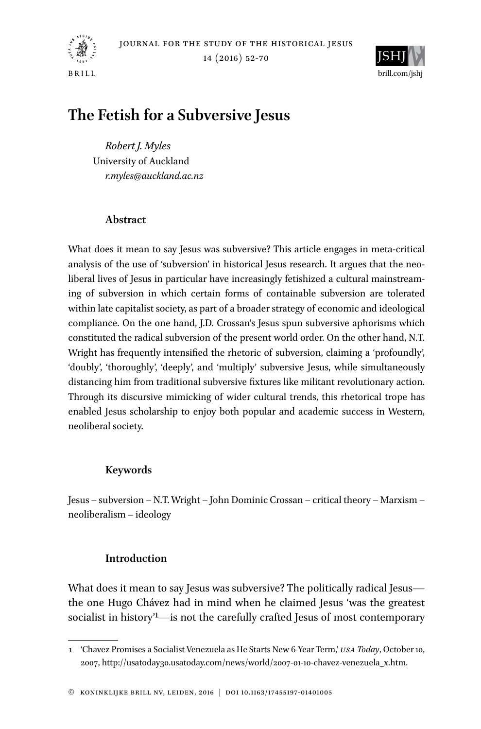journal for the study of the historical jesus



14 (2016) 52-70



# **The Fetish for a Subversive Jesus**

*Robert J. Myles* University of Auckland *r.myles@auckland.ac.nz*

# **Abstract**

What does it mean to say Jesus was subversive? This article engages in meta-critical analysis of the use of 'subversion' in historical Jesus research. It argues that the neoliberal lives of Jesus in particular have increasingly fetishized a cultural mainstreaming of subversion in which certain forms of containable subversion are tolerated within late capitalist society, as part of a broader strategy of economic and ideological compliance. On the one hand, J.D. Crossan's Jesus spun subversive aphorisms which constituted the radical subversion of the present world order. On the other hand, N.T. Wright has frequently intensified the rhetoric of subversion, claiming a 'profoundly', 'doubly', 'thoroughly', 'deeply', and 'multiply' subversive Jesus, while simultaneously distancing him from traditional subversive fixtures like militant revolutionary action. Through its discursive mimicking of wider cultural trends, this rhetorical trope has enabled Jesus scholarship to enjoy both popular and academic success in Western, neoliberal society.

# **Keywords**

Jesus – subversion – N.T. Wright – John Dominic Crossan – critical theory – Marxism – neoliberalism – ideology

# **Introduction**

What does it mean to say Jesus was subversive? The politically radical Jesus the one Hugo Chávez had in mind when he claimed Jesus 'was the greatest socialist in history<sup>'1</sup>—is not the carefully crafted Jesus of most contemporary

<sup>1</sup> 'Chavez Promises a Socialist Venezuela as He Starts New 6-Year Term,' *usa Today*, October 10, 2007, [http://usatoday30.usatoday.com/news/world/2007-01-10-chavez-venezuela\\_x.htm](http://usatoday30.usatoday.com/news/world/2007-01-10-chavez-venezuela_x.htm).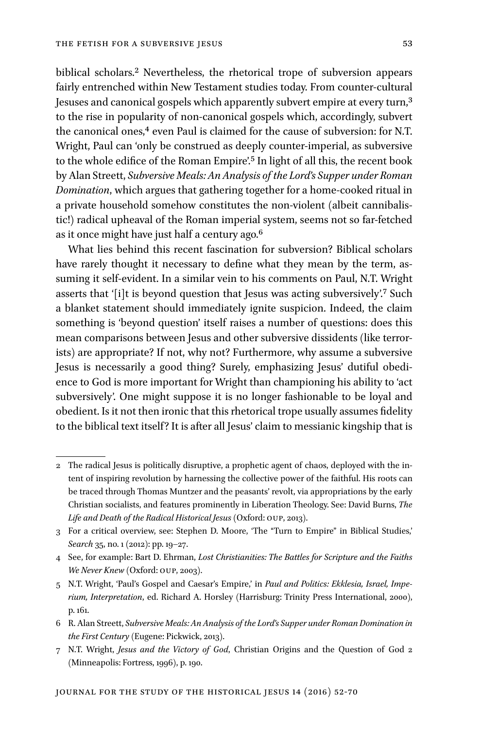biblical scholars.2 Nevertheless, the rhetorical trope of subversion appears fairly entrenched within New Testament studies today. From counter-cultural Jesuses and canonical gospels which apparently subvert empire at every turn,<sup>3</sup> to the rise in popularity of non-canonical gospels which, accordingly, subvert the canonical ones,<sup>4</sup> even Paul is claimed for the cause of subversion: for N.T. Wright, Paul can 'only be construed as deeply counter-imperial, as subversive to the whole edifice of the Roman Empire'.<sup>5</sup> In light of all this, the recent book by Alan Streett, *Subversive Meals: An Analysis of the Lord's Supper under Roman Domination*, which argues that gathering together for a home-cooked ritual in a private household somehow constitutes the non-violent (albeit cannibalistic!) radical upheaval of the Roman imperial system, seems not so far-fetched as it once might have just half a century ago.6

What lies behind this recent fascination for subversion? Biblical scholars have rarely thought it necessary to define what they mean by the term, assuming it self-evident. In a similar vein to his comments on Paul, N.T. Wright asserts that '[i]t is beyond question that Jesus was acting subversively'.7 Such a blanket statement should immediately ignite suspicion. Indeed, the claim something is 'beyond question' itself raises a number of questions: does this mean comparisons between Jesus and other subversive dissidents (like terrorists) are appropriate? If not, why not? Furthermore, why assume a subversive Jesus is necessarily a good thing? Surely, emphasizing Jesus' dutiful obedience to God is more important for Wright than championing his ability to 'act subversively'. One might suppose it is no longer fashionable to be loyal and obedient. Is it not then ironic that this rhetorical trope usually assumes fidelity to the biblical text itself? It is after all Jesus' claim to messianic kingship that is

- 6 R. Alan Streett, *Subversive Meals: An Analysis of the Lord's Supper under Roman Domination in the First Century* (Eugene: Pickwick, 2013).
- 7 N.T. Wright, *Jesus and the Victory of God*, Christian Origins and the Question of God 2 (Minneapolis: Fortress, 1996), p. 190.

<sup>2</sup> The radical Jesus is politically disruptive, a prophetic agent of chaos, deployed with the intent of inspiring revolution by harnessing the collective power of the faithful. His roots can be traced through Thomas Muntzer and the peasants' revolt, via appropriations by the early Christian socialists, and features prominently in Liberation Theology. See: David Burns, *The Life and Death of the Radical Historical Jesus* (Oxford: oup, 2013).

<sup>3</sup> For a critical overview, see: Stephen D. Moore, 'The "Turn to Empire" in Biblical Studies,' *Search* 35, no. 1 (2012): pp. 19–27.

<sup>4</sup> See, for example: Bart D. Ehrman, *Lost Christianities: The Battles for Scripture and the Faiths We Never Knew* (Oxford: oup, 2003).

<sup>5</sup> N.T. Wright, 'Paul's Gospel and Caesar's Empire,' in *Paul and Politics: Ekklesia, Israel, Imperium, Interpretation*, ed. Richard A. Horsley (Harrisburg: Trinity Press International, 2000), p. 161.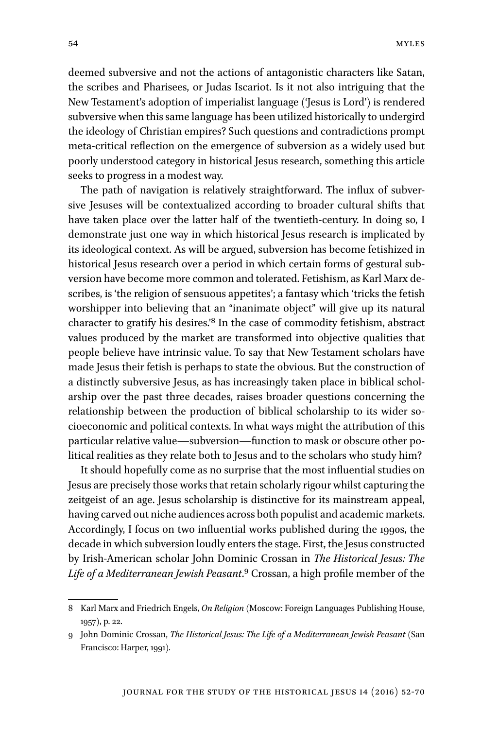deemed subversive and not the actions of antagonistic characters like Satan, the scribes and Pharisees, or Judas Iscariot. Is it not also intriguing that the New Testament's adoption of imperialist language ('Jesus is Lord') is rendered subversive when this same language has been utilized historically to undergird the ideology of Christian empires? Such questions and contradictions prompt meta-critical reflection on the emergence of subversion as a widely used but poorly understood category in historical Jesus research, something this article seeks to progress in a modest way.

The path of navigation is relatively straightforward. The influx of subversive Jesuses will be contextualized according to broader cultural shifts that have taken place over the latter half of the twentieth-century. In doing so, I demonstrate just one way in which historical Jesus research is implicated by its ideological context. As will be argued, subversion has become fetishized in historical Jesus research over a period in which certain forms of gestural subversion have become more common and tolerated. Fetishism, as Karl Marx describes, is 'the religion of sensuous appetites'; a fantasy which 'tricks the fetish worshipper into believing that an "inanimate object" will give up its natural character to gratify his desires.'8 In the case of commodity fetishism, abstract values produced by the market are transformed into objective qualities that people believe have intrinsic value. To say that New Testament scholars have made Jesus their fetish is perhaps to state the obvious. But the construction of a distinctly subversive Jesus, as has increasingly taken place in biblical scholarship over the past three decades, raises broader questions concerning the relationship between the production of biblical scholarship to its wider socioeconomic and political contexts. In what ways might the attribution of this particular relative value—subversion—function to mask or obscure other political realities as they relate both to Jesus and to the scholars who study him?

It should hopefully come as no surprise that the most influential studies on Jesus are precisely those works that retain scholarly rigour whilst capturing the zeitgeist of an age. Jesus scholarship is distinctive for its mainstream appeal, having carved out niche audiences across both populist and academic markets. Accordingly, I focus on two influential works published during the 1990s, the decade in which subversion loudly enters the stage. First, the Jesus constructed by Irish-American scholar John Dominic Crossan in *The Historical Jesus: The Life of a Mediterranean Jewish Peasant*.9 Crossan, a high profile member of the

<sup>8</sup> Karl Marx and Friedrich Engels, *On Religion* (Moscow: Foreign Languages Publishing House, 1957), p. 22.

<sup>9</sup> John Dominic Crossan, *The Historical Jesus: The Life of a Mediterranean Jewish Peasant* (San Francisco: Harper, 1991).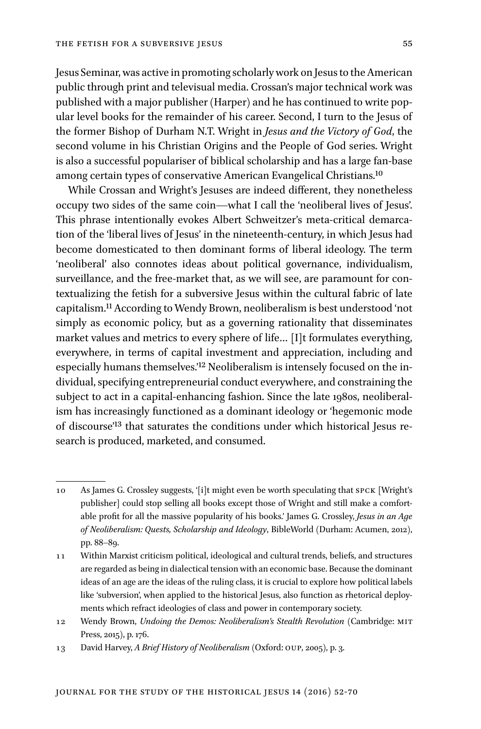Jesus Seminar, was active in promoting scholarly work on Jesus to the American public through print and televisual media. Crossan's major technical work was published with a major publisher (Harper) and he has continued to write popular level books for the remainder of his career. Second, I turn to the Jesus of the former Bishop of Durham N.T. Wright in *Jesus and the Victory of God*, the second volume in his Christian Origins and the People of God series. Wright is also a successful populariser of biblical scholarship and has a large fan-base among certain types of conservative American Evangelical Christians.10

While Crossan and Wright's Jesuses are indeed different, they nonetheless occupy two sides of the same coin—what I call the 'neoliberal lives of Jesus'. This phrase intentionally evokes Albert Schweitzer's meta-critical demarcation of the 'liberal lives of Jesus' in the nineteenth-century, in which Jesus had become domesticated to then dominant forms of liberal ideology. The term 'neoliberal' also connotes ideas about political governance, individualism, surveillance, and the free-market that, as we will see, are paramount for contextualizing the fetish for a subversive Jesus within the cultural fabric of late capitalism.11 According to Wendy Brown, neoliberalism is best understood 'not simply as economic policy, but as a governing rationality that disseminates market values and metrics to every sphere of life… [I]t formulates everything, everywhere, in terms of capital investment and appreciation, including and especially humans themselves.'12 Neoliberalism is intensely focused on the individual, specifying entrepreneurial conduct everywhere, and constraining the subject to act in a capital-enhancing fashion. Since the late 1980s, neoliberalism has increasingly functioned as a dominant ideology or 'hegemonic mode of discourse'13 that saturates the conditions under which historical Jesus research is produced, marketed, and consumed.

<sup>10</sup> As James G. Crossley suggests, '[i]t might even be worth speculating that spck [Wright's publisher] could stop selling all books except those of Wright and still make a comfortable profit for all the massive popularity of his books.' James G. Crossley, *Jesus in an Age of Neoliberalism: Quests, Scholarship and Ideology*, BibleWorld (Durham: Acumen, 2012), pp. 88–89.

<sup>11</sup> Within Marxist criticism political, ideological and cultural trends, beliefs, and structures are regarded as being in dialectical tension with an economic base. Because the dominant ideas of an age are the ideas of the ruling class, it is crucial to explore how political labels like 'subversion', when applied to the historical Jesus, also function as rhetorical deployments which refract ideologies of class and power in contemporary society.

<sup>12</sup> Wendy Brown, *Undoing the Demos: Neoliberalism's Stealth Revolution* (Cambridge: mit Press, 2015), p. 176.

<sup>13</sup> David Harvey, *A Brief History of Neoliberalism* (Oxford: oup, 2005), p. 3.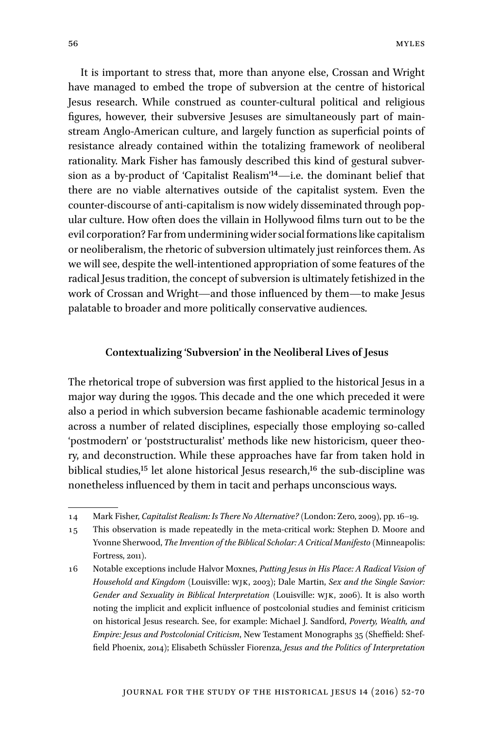It is important to stress that, more than anyone else, Crossan and Wright have managed to embed the trope of subversion at the centre of historical Jesus research. While construed as counter-cultural political and religious figures, however, their subversive Jesuses are simultaneously part of mainstream Anglo-American culture, and largely function as superficial points of resistance already contained within the totalizing framework of neoliberal rationality. Mark Fisher has famously described this kind of gestural subversion as a by-product of 'Capitalist Realism'14—i.e. the dominant belief that there are no viable alternatives outside of the capitalist system. Even the counter-discourse of anti-capitalism is now widely disseminated through popular culture. How often does the villain in Hollywood films turn out to be the evil corporation? Far from undermining wider social formations like capitalism or neoliberalism, the rhetoric of subversion ultimately just reinforces them. As we will see, despite the well-intentioned appropriation of some features of the radical Jesus tradition, the concept of subversion is ultimately fetishized in the work of Crossan and Wright—and those influenced by them—to make Jesus palatable to broader and more politically conservative audiences.

#### **Contextualizing 'Subversion' in the Neoliberal Lives of Jesus**

The rhetorical trope of subversion was first applied to the historical Jesus in a major way during the 1990s. This decade and the one which preceded it were also a period in which subversion became fashionable academic terminology across a number of related disciplines, especially those employing so-called 'postmodern' or 'poststructuralist' methods like new historicism, queer theory, and deconstruction. While these approaches have far from taken hold in biblical studies,<sup>15</sup> let alone historical Jesus research,<sup>16</sup> the sub-discipline was nonetheless influenced by them in tacit and perhaps unconscious ways.

<sup>14</sup> Mark Fisher, *Capitalist Realism: Is There No Alternative?* (London: Zero, 2009), pp. 16–19.

<sup>15</sup> This observation is made repeatedly in the meta-critical work: Stephen D. Moore and Yvonne Sherwood, *The Invention of the Biblical Scholar: A Critical Manifesto* (Minneapolis: Fortress, 2011).

<sup>16</sup> Notable exceptions include Halvor Moxnes, *Putting Jesus in His Place: A Radical Vision of Household and Kingdom* (Louisville: wjk, 2003); Dale Martin, *Sex and the Single Savior: Gender and Sexuality in Biblical Interpretation* (Louisville: wjk, 2006). It is also worth noting the implicit and explicit influence of postcolonial studies and feminist criticism on historical Jesus research. See, for example: Michael J. Sandford, *Poverty, Wealth, and Empire: Jesus and Postcolonial Criticism*, New Testament Monographs 35 (Sheffield: Sheffield Phoenix, 2014); Elisabeth Schüssler Fiorenza, *Jesus and the Politics of Interpretation*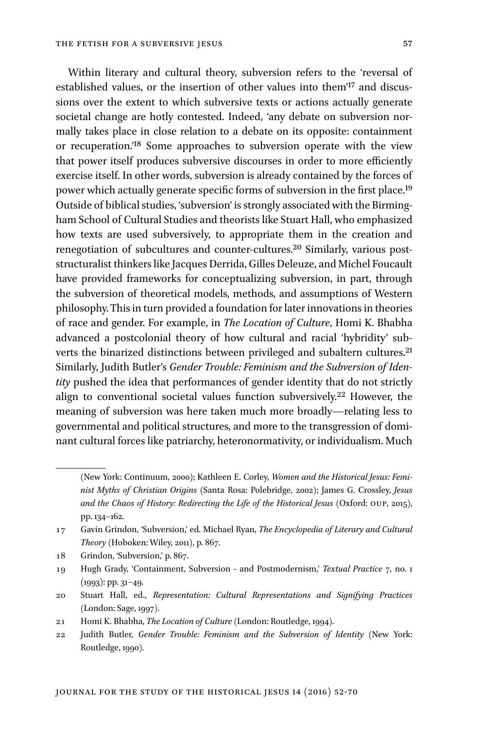Within literary and cultural theory, subversion refers to the 'reversal of established values, or the insertion of other values into them'17 and discussions over the extent to which subversive texts or actions actually generate societal change are hotly contested. Indeed, 'any debate on subversion normally takes place in close relation to a debate on its opposite: containment or recuperation.'18 Some approaches to subversion operate with the view that power itself produces subversive discourses in order to more efficiently exercise itself. In other words, subversion is already contained by the forces of power which actually generate specific forms of subversion in the first place.19 Outside of biblical studies, 'subversion' is strongly associated with the Birmingham School of Cultural Studies and theorists like Stuart Hall, who emphasized how texts are used subversively, to appropriate them in the creation and renegotiation of subcultures and counter-cultures.20 Similarly, various poststructuralist thinkers like Jacques Derrida, Gilles Deleuze, and Michel Foucault have provided frameworks for conceptualizing subversion, in part, through the subversion of theoretical models, methods, and assumptions of Western philosophy. This in turn provided a foundation for later innovations in theories of race and gender. For example, in *The Location of Culture*, Homi K. Bhabha advanced a postcolonial theory of how cultural and racial 'hybridity' subverts the binarized distinctions between privileged and subaltern cultures.<sup>21</sup> Similarly, Judith Butler's *Gender Trouble: Feminism and the Subversion of Identity* pushed the idea that performances of gender identity that do not strictly align to conventional societal values function subversively.<sup>22</sup> However, the meaning of subversion was here taken much more broadly—relating less to governmental and political structures, and more to the transgression of domi-

nant cultural forces like patriarchy, heteronormativity, or individualism. Much

- 19 Hugh Grady, 'Containment, Subversion and Postmodernism,' *Textual Practice* 7, no. 1  $(1993):$  pp. 31–49.
- 20 Stuart Hall, ed., *Representation: Cultural Representations and Signifying Practices* (London: Sage, 1997).

22 Judith Butler, *Gender Trouble: Feminism and the Subversion of Identity* (New York: Routledge, 1990).

<sup>(</sup>New York: Continuum, 2000); Kathleen E. Corley, *Women and the Historical Jesus: Feminist Myths of Christian Origins* (Santa Rosa: Polebridge, 2002); James G. Crossley, *Jesus and the Chaos of History: Redirecting the Life of the Historical Jesus* (Oxford: oup, 2015), pp. 134–162.

<sup>17</sup> Gavin Grindon, 'Subversion,' ed. Michael Ryan, *The Encyclopedia of Literary and Cultural Theory* (Hoboken: Wiley, 2011), p. 867.

<sup>18</sup> Grindon, 'Subversion,' p. 867.

<sup>21</sup> Homi K. Bhabha, *The Location of Culture* (London: Routledge, 1994).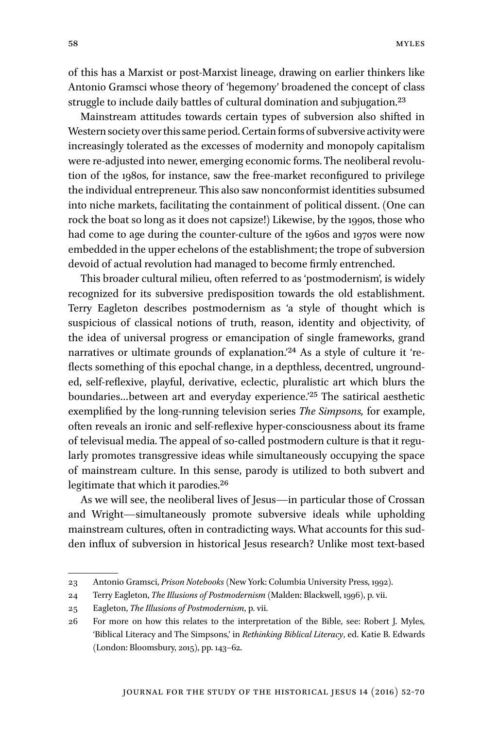of this has a Marxist or post-Marxist lineage, drawing on earlier thinkers like Antonio Gramsci whose theory of 'hegemony' broadened the concept of class struggle to include daily battles of cultural domination and subjugation.<sup>23</sup>

Mainstream attitudes towards certain types of subversion also shifted in Western society over this same period. Certain forms of subversive activity were increasingly tolerated as the excesses of modernity and monopoly capitalism were re-adjusted into newer, emerging economic forms. The neoliberal revolution of the 1980s, for instance, saw the free-market reconfigured to privilege the individual entrepreneur. This also saw nonconformist identities subsumed into niche markets, facilitating the containment of political dissent. (One can rock the boat so long as it does not capsize!) Likewise, by the 1990s, those who had come to age during the counter-culture of the 1960s and 1970s were now embedded in the upper echelons of the establishment; the trope of subversion devoid of actual revolution had managed to become firmly entrenched.

This broader cultural milieu, often referred to as 'postmodernism', is widely recognized for its subversive predisposition towards the old establishment. Terry Eagleton describes postmodernism as 'a style of thought which is suspicious of classical notions of truth, reason, identity and objectivity, of the idea of universal progress or emancipation of single frameworks, grand narratives or ultimate grounds of explanation.'24 As a style of culture it 'reflects something of this epochal change, in a depthless, decentred, ungrounded, self-reflexive, playful, derivative, eclectic, pluralistic art which blurs the boundaries...between art and everyday experience.<sup>25</sup> The satirical aesthetic exemplified by the long-running television series *The Simpsons,* for example, often reveals an ironic and self-reflexive hyper-consciousness about its frame of televisual media. The appeal of so-called postmodern culture is that it regularly promotes transgressive ideas while simultaneously occupying the space of mainstream culture. In this sense, parody is utilized to both subvert and legitimate that which it parodies.<sup>26</sup>

As we will see, the neoliberal lives of Jesus—in particular those of Crossan and Wright—simultaneously promote subversive ideals while upholding mainstream cultures, often in contradicting ways. What accounts for this sudden influx of subversion in historical Jesus research? Unlike most text-based

<sup>23</sup> Antonio Gramsci, *Prison Notebooks* (New York: Columbia University Press, 1992).

<sup>24</sup> Terry Eagleton, *The Illusions of Postmodernism* (Malden: Blackwell, 1996), p. vii.

<sup>25</sup> Eagleton, *The Illusions of Postmodernism*, p. vii.

<sup>26</sup> For more on how this relates to the interpretation of the Bible, see: Robert J. Myles, 'Biblical Literacy and The Simpsons,' in *Rethinking Biblical Literacy*, ed. Katie B. Edwards (London: Bloomsbury, 2015), pp. 143–62.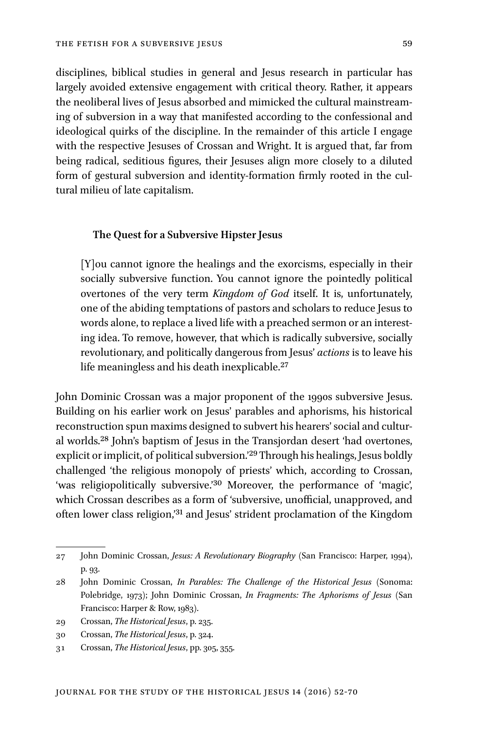disciplines, biblical studies in general and Jesus research in particular has largely avoided extensive engagement with critical theory. Rather, it appears the neoliberal lives of Jesus absorbed and mimicked the cultural mainstreaming of subversion in a way that manifested according to the confessional and ideological quirks of the discipline. In the remainder of this article I engage with the respective Jesuses of Crossan and Wright. It is argued that, far from being radical, seditious figures, their Jesuses align more closely to a diluted form of gestural subversion and identity-formation firmly rooted in the cultural milieu of late capitalism.

## **The Quest for a Subversive Hipster Jesus**

[Y]ou cannot ignore the healings and the exorcisms, especially in their socially subversive function. You cannot ignore the pointedly political overtones of the very term *Kingdom of God* itself. It is, unfortunately, one of the abiding temptations of pastors and scholars to reduce Jesus to words alone, to replace a lived life with a preached sermon or an interesting idea. To remove, however, that which is radically subversive, socially revolutionary, and politically dangerous from Jesus' *actions* is to leave his life meaningless and his death inexplicable.<sup>27</sup>

John Dominic Crossan was a major proponent of the 1990s subversive Jesus. Building on his earlier work on Jesus' parables and aphorisms, his historical reconstruction spun maxims designed to subvert his hearers' social and cultural worlds.28 John's baptism of Jesus in the Transjordan desert 'had overtones, explicit or implicit, of political subversion.'29 Through his healings, Jesus boldly challenged 'the religious monopoly of priests' which, according to Crossan, 'was religiopolitically subversive.'<sup>30</sup> Moreover, the performance of 'magic', which Crossan describes as a form of 'subversive, unofficial, unapproved, and often lower class religion,'31 and Jesus' strident proclamation of the Kingdom

<sup>27</sup> John Dominic Crossan, *Jesus: A Revolutionary Biography* (San Francisco: Harper, 1994), p. 93.

<sup>28</sup> John Dominic Crossan, *In Parables: The Challenge of the Historical Jesus* (Sonoma: Polebridge, 1973); John Dominic Crossan, *In Fragments: The Aphorisms of Jesus* (San Francisco: Harper & Row, 1983).

<sup>29</sup> Crossan, *The Historical Jesus*, p. 235.

<sup>30</sup> Crossan, *The Historical Jesus*, p. 324.

<sup>31</sup> Crossan, *The Historical Jesus*, pp. 305, 355.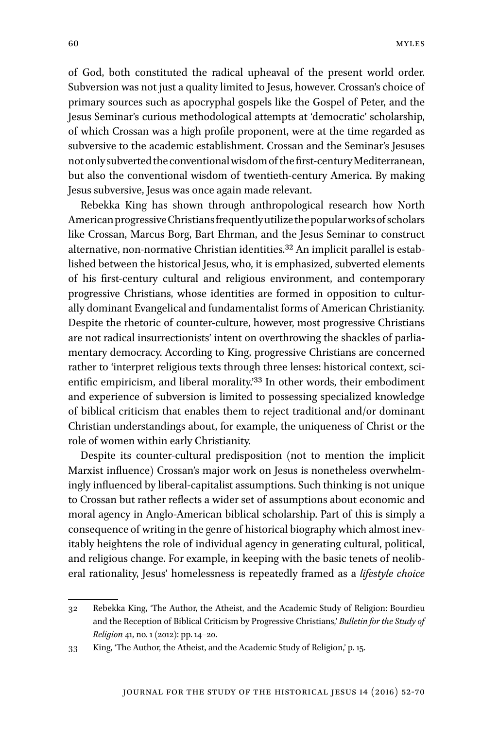of God, both constituted the radical upheaval of the present world order. Subversion was not just a quality limited to Jesus, however. Crossan's choice of primary sources such as apocryphal gospels like the Gospel of Peter, and the Jesus Seminar's curious methodological attempts at 'democratic' scholarship, of which Crossan was a high profile proponent, were at the time regarded as subversive to the academic establishment. Crossan and the Seminar's Jesuses not only subverted the conventional wisdom of the first-century Mediterranean, but also the conventional wisdom of twentieth-century America. By making Jesus subversive, Jesus was once again made relevant.

Rebekka King has shown through anthropological research how North American progressive Christians frequently utilize the popular works of scholars like Crossan, Marcus Borg, Bart Ehrman, and the Jesus Seminar to construct alternative, non-normative Christian identities.<sup>32</sup> An implicit parallel is established between the historical Jesus, who, it is emphasized, subverted elements of his first-century cultural and religious environment, and contemporary progressive Christians, whose identities are formed in opposition to culturally dominant Evangelical and fundamentalist forms of American Christianity. Despite the rhetoric of counter-culture, however, most progressive Christians are not radical insurrectionists' intent on overthrowing the shackles of parliamentary democracy. According to King, progressive Christians are concerned rather to 'interpret religious texts through three lenses: historical context, scientific empiricism, and liberal morality.<sup>'33</sup> In other words, their embodiment and experience of subversion is limited to possessing specialized knowledge of biblical criticism that enables them to reject traditional and/or dominant Christian understandings about, for example, the uniqueness of Christ or the role of women within early Christianity.

Despite its counter-cultural predisposition (not to mention the implicit Marxist influence) Crossan's major work on Jesus is nonetheless overwhelmingly influenced by liberal-capitalist assumptions. Such thinking is not unique to Crossan but rather reflects a wider set of assumptions about economic and moral agency in Anglo-American biblical scholarship. Part of this is simply a consequence of writing in the genre of historical biography which almost inevitably heightens the role of individual agency in generating cultural, political, and religious change. For example, in keeping with the basic tenets of neoliberal rationality, Jesus' homelessness is repeatedly framed as a *lifestyle choice*

<sup>32</sup> Rebekka King, 'The Author, the Atheist, and the Academic Study of Religion: Bourdieu and the Reception of Biblical Criticism by Progressive Christians,' *Bulletin for the Study of Religion* 41, no. 1 (2012): pp. 14–20.

<sup>33</sup> King, 'The Author, the Atheist, and the Academic Study of Religion,' p. 15.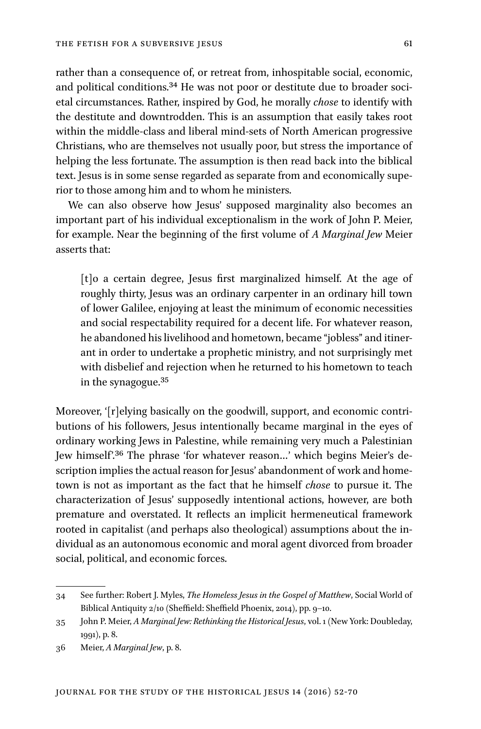rather than a consequence of, or retreat from, inhospitable social, economic, and political conditions.<sup>34</sup> He was not poor or destitute due to broader societal circumstances. Rather, inspired by God, he morally *chose* to identify with the destitute and downtrodden. This is an assumption that easily takes root within the middle-class and liberal mind-sets of North American progressive Christians, who are themselves not usually poor, but stress the importance of helping the less fortunate. The assumption is then read back into the biblical text. Jesus is in some sense regarded as separate from and economically superior to those among him and to whom he ministers.

We can also observe how Jesus' supposed marginality also becomes an important part of his individual exceptionalism in the work of John P. Meier, for example. Near the beginning of the first volume of *A Marginal Jew* Meier asserts that:

[t]o a certain degree, Jesus first marginalized himself. At the age of roughly thirty, Jesus was an ordinary carpenter in an ordinary hill town of lower Galilee, enjoying at least the minimum of economic necessities and social respectability required for a decent life. For whatever reason, he abandoned his livelihood and hometown, became "jobless" and itinerant in order to undertake a prophetic ministry, and not surprisingly met with disbelief and rejection when he returned to his hometown to teach in the synagogue.35

Moreover, '[r]elying basically on the goodwill, support, and economic contributions of his followers, Jesus intentionally became marginal in the eyes of ordinary working Jews in Palestine, while remaining very much a Palestinian Jew himself'.36 The phrase 'for whatever reason…' which begins Meier's description implies the actual reason for Jesus' abandonment of work and hometown is not as important as the fact that he himself *chose* to pursue it. The characterization of Jesus' supposedly intentional actions, however, are both premature and overstated. It reflects an implicit hermeneutical framework rooted in capitalist (and perhaps also theological) assumptions about the individual as an autonomous economic and moral agent divorced from broader social, political, and economic forces.

<sup>34</sup> See further: Robert J. Myles, *The Homeless Jesus in the Gospel of Matthew*, Social World of Biblical Antiquity 2/10 (Sheffield: Sheffield Phoenix, 2014), pp. 9–10.

<sup>35</sup> John P. Meier, *A Marginal Jew: Rethinking the Historical Jesus*, vol. 1 (New York: Doubleday, 1991), p. 8.

<sup>36</sup> Meier, *A Marginal Jew*, p. 8.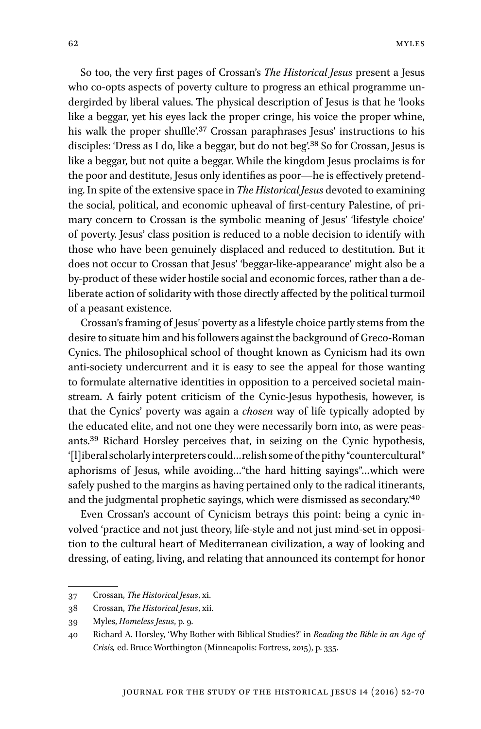So too, the very first pages of Crossan's *The Historical Jesus* present a Jesus who co-opts aspects of poverty culture to progress an ethical programme undergirded by liberal values. The physical description of Jesus is that he 'looks like a beggar, yet his eyes lack the proper cringe, his voice the proper whine, his walk the proper shuffle<sup>'37</sup> Crossan paraphrases Jesus' instructions to his disciples: 'Dress as I do, like a beggar, but do not beg'.<sup>38</sup> So for Crossan, Jesus is like a beggar, but not quite a beggar. While the kingdom Jesus proclaims is for the poor and destitute, Jesus only identifies as poor—he is effectively pretending. In spite of the extensive space in *The Historical Jesus* devoted to examining the social, political, and economic upheaval of first-century Palestine, of primary concern to Crossan is the symbolic meaning of Jesus' 'lifestyle choice' of poverty. Jesus' class position is reduced to a noble decision to identify with those who have been genuinely displaced and reduced to destitution. But it does not occur to Crossan that Jesus' 'beggar-like-appearance' might also be a by-product of these wider hostile social and economic forces, rather than a deliberate action of solidarity with those directly affected by the political turmoil of a peasant existence.

Crossan's framing of Jesus' poverty as a lifestyle choice partly stems from the desire to situate him and his followers against the background of Greco-Roman Cynics. The philosophical school of thought known as Cynicism had its own anti-society undercurrent and it is easy to see the appeal for those wanting to formulate alternative identities in opposition to a perceived societal mainstream. A fairly potent criticism of the Cynic-Jesus hypothesis, however, is that the Cynics' poverty was again a *chosen* way of life typically adopted by the educated elite, and not one they were necessarily born into, as were peasants.39 Richard Horsley perceives that, in seizing on the Cynic hypothesis, '[l]iberal scholarly interpreters could…relish some of the pithy "countercultural" aphorisms of Jesus, while avoiding…"the hard hitting sayings"…which were safely pushed to the margins as having pertained only to the radical itinerants, and the judgmental prophetic sayings, which were dismissed as secondary.'40

Even Crossan's account of Cynicism betrays this point: being a cynic involved 'practice and not just theory, life-style and not just mind-set in opposition to the cultural heart of Mediterranean civilization, a way of looking and dressing, of eating, living, and relating that announced its contempt for honor

39 Myles, *Homeless Jesus*, p. 9.

<sup>37</sup> Crossan, *The Historical Jesus*, xi.

<sup>38</sup> Crossan, *The Historical Jesus*, xii.

<sup>40</sup> Richard A. Horsley, 'Why Bother with Biblical Studies?' in *Reading the Bible in an Age of Crisis,* ed. Bruce Worthington (Minneapolis: Fortress, 2015), p. 335.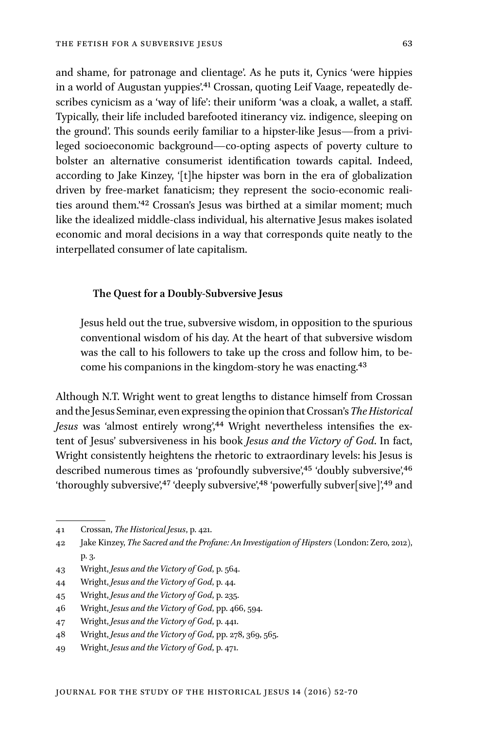and shame, for patronage and clientage'. As he puts it, Cynics 'were hippies in a world of Augustan yuppies'.<sup>41</sup> Crossan, quoting Leif Vaage, repeatedly describes cynicism as a 'way of life': their uniform 'was a cloak, a wallet, a staff. Typically, their life included barefooted itinerancy viz. indigence, sleeping on the ground'. This sounds eerily familiar to a hipster-like Jesus—from a privileged socioeconomic background—co-opting aspects of poverty culture to bolster an alternative consumerist identification towards capital. Indeed, according to Jake Kinzey, '[t]he hipster was born in the era of globalization driven by free-market fanaticism; they represent the socio-economic realities around them.<sup>'42</sup> Crossan's Jesus was birthed at a similar moment; much like the idealized middle-class individual, his alternative Jesus makes isolated economic and moral decisions in a way that corresponds quite neatly to the interpellated consumer of late capitalism.

#### **The Quest for a Doubly-Subversive Jesus**

Jesus held out the true, subversive wisdom, in opposition to the spurious conventional wisdom of his day. At the heart of that subversive wisdom was the call to his followers to take up the cross and follow him, to become his companions in the kingdom-story he was enacting.<sup>43</sup>

Although N.T. Wright went to great lengths to distance himself from Crossan and the Jesus Seminar, even expressing the opinion that Crossan's *The Historical*  Jesus was 'almost entirely wrong',<sup>44</sup> Wright nevertheless intensifies the extent of Jesus' subversiveness in his book *Jesus and the Victory of God*. In fact, Wright consistently heightens the rhetoric to extraordinary levels: his Jesus is described numerous times as 'profoundly subversive',<sup>45</sup> 'doubly subversive',<sup>46</sup> 'thoroughly subversive',47 'deeply subversive',48 'powerfully subver[sive]',49 and

- 43 Wright, *Jesus and the Victory of God*, p. 564.
- 44 Wright, *Jesus and the Victory of God*, p. 44.
- 45 Wright, *Jesus and the Victory of God*, p. 235.
- 46 Wright, *Jesus and the Victory of God*, pp. 466, 594.
- 47 Wright, *Jesus and the Victory of God*, p. 441.
- 48 Wright, *Jesus and the Victory of God*, pp. 278, 369, 565.
- 49 Wright, *Jesus and the Victory of God*, p. 471.

<sup>41</sup> Crossan, *The Historical Jesus*, p. 421.

<sup>42</sup> Jake Kinzey, *The Sacred and the Profane: An Investigation of Hipsters* (London: Zero, 2012), p. 3.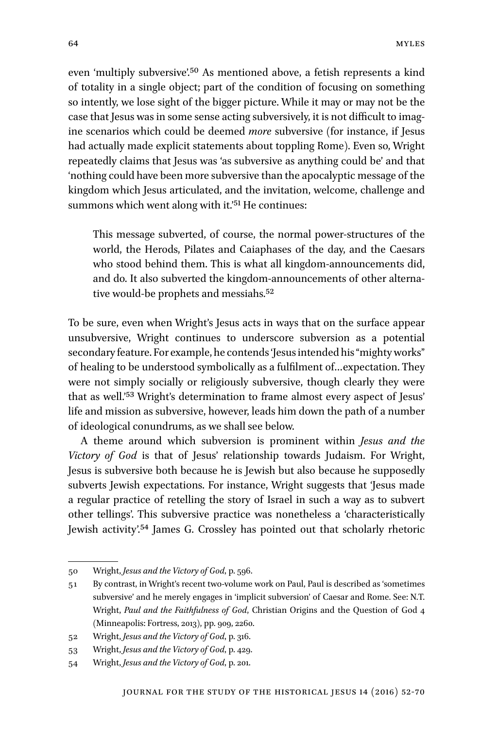even 'multiply subversive'.50 As mentioned above, a fetish represents a kind of totality in a single object; part of the condition of focusing on something so intently, we lose sight of the bigger picture. While it may or may not be the case that Jesus was in some sense acting subversively, it is not difficult to imagine scenarios which could be deemed *more* subversive (for instance, if Jesus had actually made explicit statements about toppling Rome). Even so, Wright repeatedly claims that Jesus was 'as subversive as anything could be' and that 'nothing could have been more subversive than the apocalyptic message of the kingdom which Jesus articulated, and the invitation, welcome, challenge and summons which went along with it.'<sup>51</sup> He continues:

This message subverted, of course, the normal power-structures of the world, the Herods, Pilates and Caiaphases of the day, and the Caesars who stood behind them. This is what all kingdom-announcements did, and do. It also subverted the kingdom-announcements of other alternative would-be prophets and messiahs.<sup>52</sup>

To be sure, even when Wright's Jesus acts in ways that on the surface appear unsubversive, Wright continues to underscore subversion as a potential secondary feature. For example, he contends 'Jesus intended his "mighty works" of healing to be understood symbolically as a fulfilment of…expectation. They were not simply socially or religiously subversive, though clearly they were that as well.'53 Wright's determination to frame almost every aspect of Jesus' life and mission as subversive, however, leads him down the path of a number of ideological conundrums, as we shall see below.

A theme around which subversion is prominent within *Jesus and the Victory of God* is that of Jesus' relationship towards Judaism. For Wright, Jesus is subversive both because he is Jewish but also because he supposedly subverts Jewish expectations. For instance, Wright suggests that 'Jesus made a regular practice of retelling the story of Israel in such a way as to subvert other tellings'. This subversive practice was nonetheless a 'characteristically Jewish activity'.54 James G. Crossley has pointed out that scholarly rhetoric

<sup>50</sup> Wright, *Jesus and the Victory of God*, p. 596.

<sup>51</sup> By contrast, in Wright's recent two-volume work on Paul, Paul is described as 'sometimes subversive' and he merely engages in 'implicit subversion' of Caesar and Rome. See: N.T. Wright, *Paul and the Faithfulness of God*, Christian Origins and the Question of God 4 (Minneapolis: Fortress, 2013), pp. 909, 2260.

<sup>52</sup> Wright, *Jesus and the Victory of God*, p. 316.

<sup>53</sup> Wright, *Jesus and the Victory of God*, p. 429.

<sup>54</sup> Wright, *Jesus and the Victory of God*, p. 201.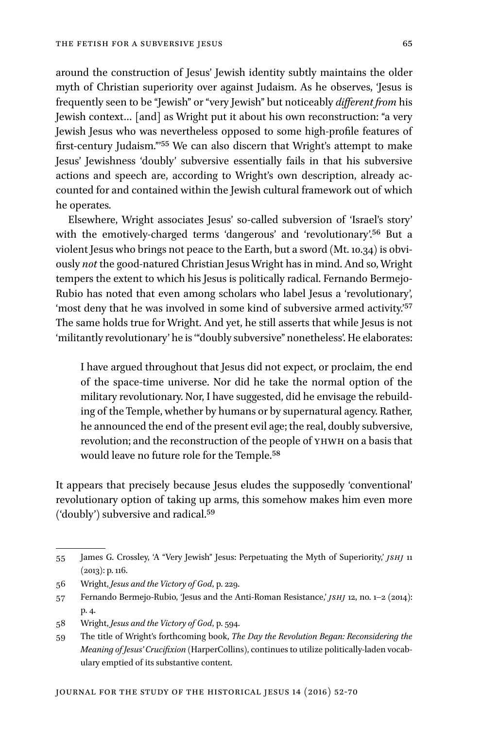around the construction of Jesus' Jewish identity subtly maintains the older myth of Christian superiority over against Judaism. As he observes, 'Jesus is frequently seen to be "Jewish" or "very Jewish" but noticeably *different from* his Jewish context… [and] as Wright put it about his own reconstruction: "a very Jewish Jesus who was nevertheless opposed to some high-profile features of first-century Judaism."'55 We can also discern that Wright's attempt to make Jesus' Jewishness 'doubly' subversive essentially fails in that his subversive actions and speech are, according to Wright's own description, already accounted for and contained within the Jewish cultural framework out of which he operates.

Elsewhere, Wright associates Jesus' so-called subversion of 'Israel's story' with the emotively-charged terms 'dangerous' and 'revolutionary'.56 But a violent Jesus who brings not peace to the Earth, but a sword (Mt. 10.34) is obviously *not* the good-natured Christian Jesus Wright has in mind. And so, Wright tempers the extent to which his Jesus is politically radical. Fernando Bermejo-Rubio has noted that even among scholars who label Jesus a 'revolutionary', 'most deny that he was involved in some kind of subversive armed activity.'57 The same holds true for Wright. And yet, he still asserts that while Jesus is not 'militantly revolutionary' he is '"doubly subversive" nonetheless'. He elaborates:

I have argued throughout that Jesus did not expect, or proclaim, the end of the space-time universe. Nor did he take the normal option of the military revolutionary. Nor, I have suggested, did he envisage the rebuilding of the Temple, whether by humans or by supernatural agency. Rather, he announced the end of the present evil age; the real, doubly subversive, revolution; and the reconstruction of the people of yhwh on a basis that would leave no future role for the Temple.58

It appears that precisely because Jesus eludes the supposedly 'conventional' revolutionary option of taking up arms, this somehow makes him even more ('doubly') subversive and radical.59

<sup>55</sup> James G. Crossley, 'A "Very Jewish" Jesus: Perpetuating the Myth of Superiority,' *jshj* 11 (2013): p. 116.

<sup>56</sup> Wright, *Jesus and the Victory of God*, p. 229.

<sup>57</sup> Fernando Bermejo-Rubio, 'Jesus and the Anti-Roman Resistance,' *jshj* 12, no. 1–2 (2014): p. 4.

<sup>58</sup> Wright, *Jesus and the Victory of God*, p. 594.

<sup>59</sup> The title of Wright's forthcoming book, *The Day the Revolution Began: Reconsidering the Meaning of Jesus' Crucifixion* (HarperCollins), continues to utilize politically-laden vocabulary emptied of its substantive content.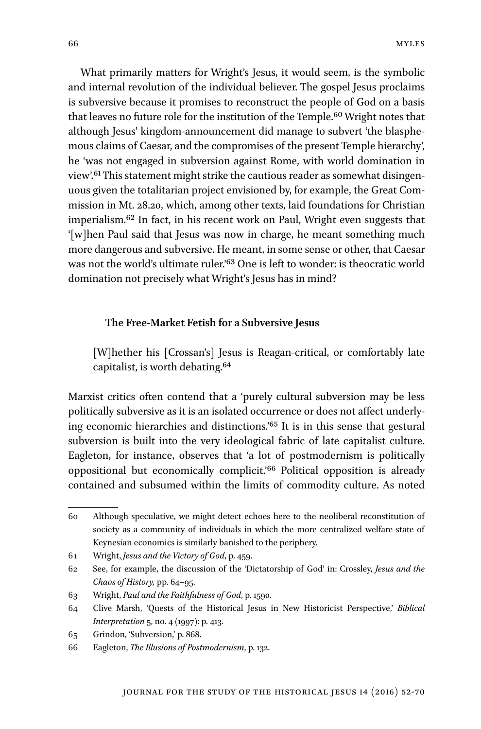What primarily matters for Wright's Jesus, it would seem, is the symbolic and internal revolution of the individual believer. The gospel Jesus proclaims is subversive because it promises to reconstruct the people of God on a basis that leaves no future role for the institution of the Temple.60 Wright notes that although Jesus' kingdom-announcement did manage to subvert 'the blasphemous claims of Caesar, and the compromises of the present Temple hierarchy', he 'was not engaged in subversion against Rome, with world domination in view'.61 This statement might strike the cautious reader as somewhat disingenuous given the totalitarian project envisioned by, for example, the Great Commission in Mt. 28.20, which, among other texts, laid foundations for Christian imperialism.62 In fact, in his recent work on Paul, Wright even suggests that '[w]hen Paul said that Jesus was now in charge, he meant something much more dangerous and subversive. He meant, in some sense or other, that Caesar was not the world's ultimate ruler.<sup>'63</sup> One is left to wonder: is theocratic world domination not precisely what Wright's Jesus has in mind?

## **The Free-Market Fetish for a Subversive Jesus**

[W]hether his [Crossan's] Jesus is Reagan-critical, or comfortably late capitalist, is worth debating.64

Marxist critics often contend that a 'purely cultural subversion may be less politically subversive as it is an isolated occurrence or does not affect underlying economic hierarchies and distinctions.'65 It is in this sense that gestural subversion is built into the very ideological fabric of late capitalist culture. Eagleton, for instance, observes that 'a lot of postmodernism is politically oppositional but economically complicit.'66 Political opposition is already contained and subsumed within the limits of commodity culture. As noted

<sup>60</sup> Although speculative, we might detect echoes here to the neoliberal reconstitution of society as a community of individuals in which the more centralized welfare-state of Keynesian economics is similarly banished to the periphery.

<sup>61</sup> Wright, *Jesus and the Victory of God*, p. 459.

<sup>62</sup> See, for example, the discussion of the 'Dictatorship of God' in: Crossley, *Jesus and the Chaos of History,* pp. 64–95.

<sup>63</sup> Wright, *Paul and the Faithfulness of God*, p. 1590.

<sup>64</sup> Clive Marsh, 'Quests of the Historical Jesus in New Historicist Perspective,' *Biblical Interpretation* 5, no. 4 (1997): p. 413.

<sup>65</sup> Grindon, 'Subversion,' p. 868.

<sup>66</sup> Eagleton, *The Illusions of Postmodernism*, p. 132.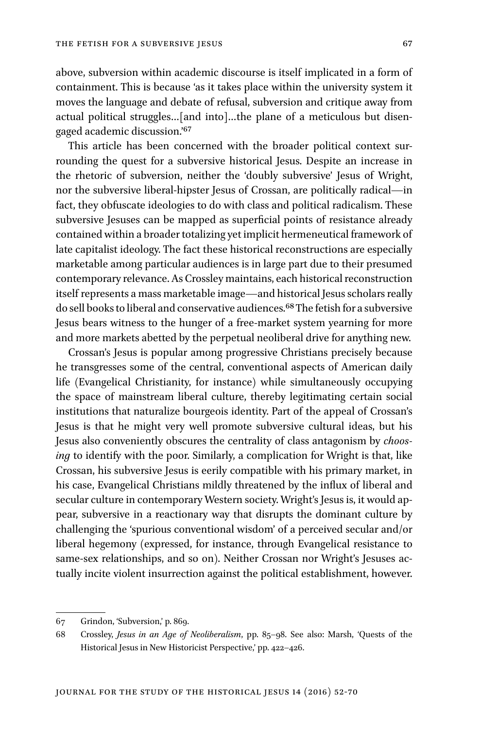above, subversion within academic discourse is itself implicated in a form of containment. This is because 'as it takes place within the university system it moves the language and debate of refusal, subversion and critique away from actual political struggles…[and into]…the plane of a meticulous but disengaged academic discussion.'67

This article has been concerned with the broader political context surrounding the quest for a subversive historical Jesus. Despite an increase in the rhetoric of subversion, neither the 'doubly subversive' Jesus of Wright, nor the subversive liberal-hipster Jesus of Crossan, are politically radical—in fact, they obfuscate ideologies to do with class and political radicalism. These subversive Jesuses can be mapped as superficial points of resistance already contained within a broader totalizing yet implicit hermeneutical framework of late capitalist ideology. The fact these historical reconstructions are especially marketable among particular audiences is in large part due to their presumed contemporary relevance. As Crossley maintains, each historical reconstruction itself represents a mass marketable image—and historical Jesus scholars really do sell books to liberal and conservative audiences.<sup>68</sup> The fetish for a subversive Jesus bears witness to the hunger of a free-market system yearning for more and more markets abetted by the perpetual neoliberal drive for anything new.

Crossan's Jesus is popular among progressive Christians precisely because he transgresses some of the central, conventional aspects of American daily life (Evangelical Christianity, for instance) while simultaneously occupying the space of mainstream liberal culture, thereby legitimating certain social institutions that naturalize bourgeois identity. Part of the appeal of Crossan's Jesus is that he might very well promote subversive cultural ideas, but his Jesus also conveniently obscures the centrality of class antagonism by *choosing* to identify with the poor. Similarly, a complication for Wright is that, like Crossan, his subversive Jesus is eerily compatible with his primary market, in his case, Evangelical Christians mildly threatened by the influx of liberal and secular culture in contemporary Western society. Wright's Jesus is, it would appear, subversive in a reactionary way that disrupts the dominant culture by challenging the 'spurious conventional wisdom' of a perceived secular and/or liberal hegemony (expressed, for instance, through Evangelical resistance to same-sex relationships, and so on). Neither Crossan nor Wright's Jesuses actually incite violent insurrection against the political establishment, however.

<sup>67</sup> Grindon, 'Subversion,' p. 869.

<sup>68</sup> Crossley, *Jesus in an Age of Neoliberalism*, pp. 85–98. See also: Marsh, 'Quests of the Historical Jesus in New Historicist Perspective,' pp. 422–426.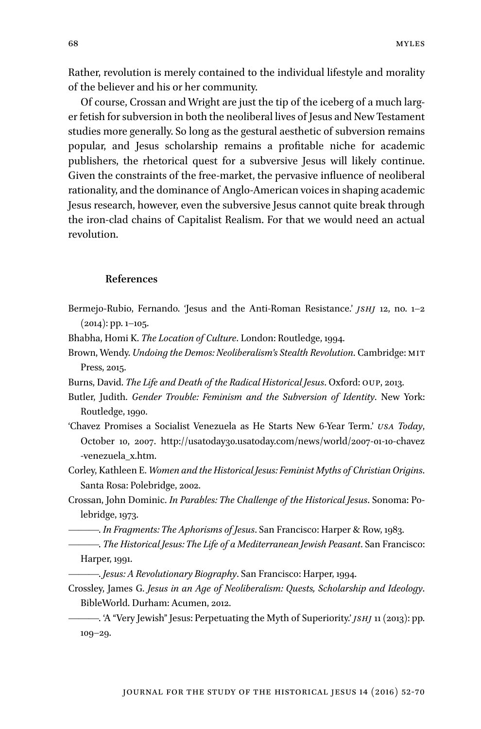Rather, revolution is merely contained to the individual lifestyle and morality of the believer and his or her community.

Of course, Crossan and Wright are just the tip of the iceberg of a much larger fetish for subversion in both the neoliberal lives of Jesus and New Testament studies more generally. So long as the gestural aesthetic of subversion remains popular, and Jesus scholarship remains a profitable niche for academic publishers, the rhetorical quest for a subversive Jesus will likely continue. Given the constraints of the free-market, the pervasive influence of neoliberal rationality, and the dominance of Anglo-American voices in shaping academic Jesus research, however, even the subversive Jesus cannot quite break through the iron-clad chains of Capitalist Realism. For that we would need an actual revolution.

### **References**

- Bermejo-Rubio, Fernando. 'Jesus and the Anti-Roman Resistance.' *jshj* 12, no. 1–2  $(2014)$ : pp. 1-105.
- Bhabha, Homi K. *The Location of Culture*. London: Routledge, 1994.
- Brown, Wendy. *Undoing the Demos: Neoliberalism's Stealth Revolution*. Cambridge: mit Press, 2015.
- Burns, David. *The Life and Death of the Radical Historical Jesus*. Oxford: oup, 2013.
- Butler, Judith. *Gender Trouble: Feminism and the Subversion of Identity*. New York: Routledge, 1990.
- 'Chavez Promises a Socialist Venezuela as He Starts New 6-Year Term.' *usa Today*, October 10, 2007. [http://usatoday30.usatoday.com/news/world/2007-01-10-chavez](http://usatoday30.usatoday.com/news/world/2007-01-10-chavez-venezuela_x.htm) [-venezuela\\_x.htm](http://usatoday30.usatoday.com/news/world/2007-01-10-chavez-venezuela_x.htm).
- Corley, Kathleen E. *Women and the Historical Jesus: Feminist Myths of Christian Origins*. Santa Rosa: Polebridge, 2002.
- Crossan, John Dominic. *In Parables: The Challenge of the Historical Jesus*. Sonoma: Polebridge, 1973.
	- ———. *In Fragments: The Aphorisms of Jesus*. San Francisco: Harper & Row, 1983.
	- ———. *The Historical Jesus: The Life of a Mediterranean Jewish Peasant*. San Francisco: Harper, 1991.
		- ———. *Jesus: A Revolutionary Biography*. San Francisco: Harper, 1994.
- Crossley, James G. *Jesus in an Age of Neoliberalism: Quests, Scholarship and Ideology*. BibleWorld. Durham: Acumen, 2012.

———. 'A "Very Jewish" Jesus: Perpetuating the Myth of Superiority.' *jshj* 11 (2013): pp. 109–29.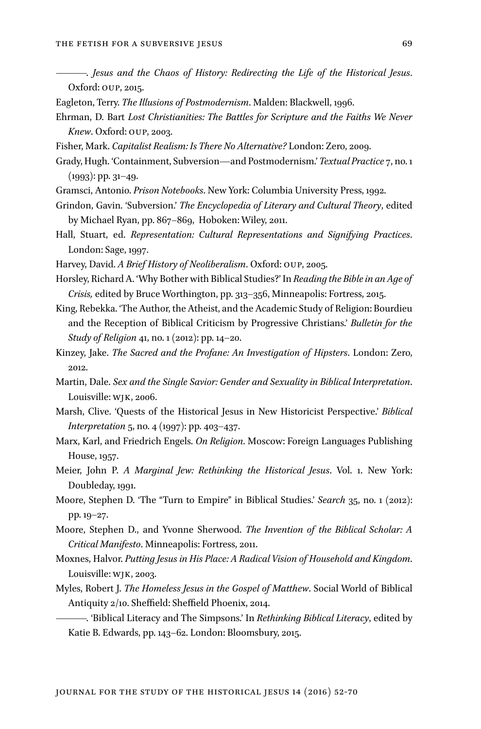- ———. *Jesus and the Chaos of History: Redirecting the Life of the Historical Jesus*. Oxford: oup, 2015.
- Eagleton, Terry. *The Illusions of Postmodernism*. Malden: Blackwell, 1996.
- Ehrman, D. Bart *Lost Christianities: The Battles for Scripture and the Faiths We Never Knew*. Oxford: oup, 2003.
- Fisher, Mark. *Capitalist Realism: Is There No Alternative?* London: Zero, 2009.
- Grady, Hugh. 'Containment, Subversion—and Postmodernism.' *Textual Practice* 7, no. 1 (1993): pp. 31–49.
- Gramsci, Antonio. *Prison Notebooks*. New York: Columbia University Press, 1992.
- Grindon, Gavin. 'Subversion.' *The Encyclopedia of Literary and Cultural Theory*, edited by Michael Ryan, pp. 867–869, Hoboken: Wiley, 2011.
- Hall, Stuart, ed. *Representation: Cultural Representations and Signifying Practices*. London: Sage, 1997.
- Harvey, David. *A Brief History of Neoliberalism*. Oxford: oup, 2005.
- Horsley, Richard A. 'Why Bother with Biblical Studies?' In *Reading the Bible in an Age of Crisis,* edited by Bruce Worthington, pp. 313–356, Minneapolis: Fortress, 2015.
- King, Rebekka. 'The Author, the Atheist, and the Academic Study of Religion: Bourdieu and the Reception of Biblical Criticism by Progressive Christians.' *Bulletin for the Study of Religion* 41, no. 1 (2012): pp. 14–20.
- Kinzey, Jake. *The Sacred and the Profane: An Investigation of Hipsters*. London: Zero, 2012.
- Martin, Dale. *Sex and the Single Savior: Gender and Sexuality in Biblical Interpretation*. Louisville: WJK, 2006.
- Marsh, Clive. 'Quests of the Historical Jesus in New Historicist Perspective.' *Biblical Interpretation* 5, no. 4 (1997): pp. 403–437.
- Marx, Karl, and Friedrich Engels. *On Religion*. Moscow: Foreign Languages Publishing House, 1957.
- Meier, John P. *A Marginal Jew: Rethinking the Historical Jesus*. Vol. 1. New York: Doubleday, 1991.
- Moore, Stephen D. 'The "Turn to Empire" in Biblical Studies.' *Search* 35, no. 1 (2012): pp. 19–27.
- Moore, Stephen D., and Yvonne Sherwood. *The Invention of the Biblical Scholar: A Critical Manifesto*. Minneapolis: Fortress, 2011.
- Moxnes, Halvor. *Putting Jesus in His Place: A Radical Vision of Household and Kingdom*. Louisville: wjk, 2003.
- Myles, Robert J. *The Homeless Jesus in the Gospel of Matthew*. Social World of Biblical Antiquity 2/10. Sheffield: Sheffield Phoenix, 2014.
	- ———. 'Biblical Literacy and The Simpsons.' In *Rethinking Biblical Literacy*, edited by Katie B. Edwards, pp. 143–62. London: Bloomsbury, 2015.